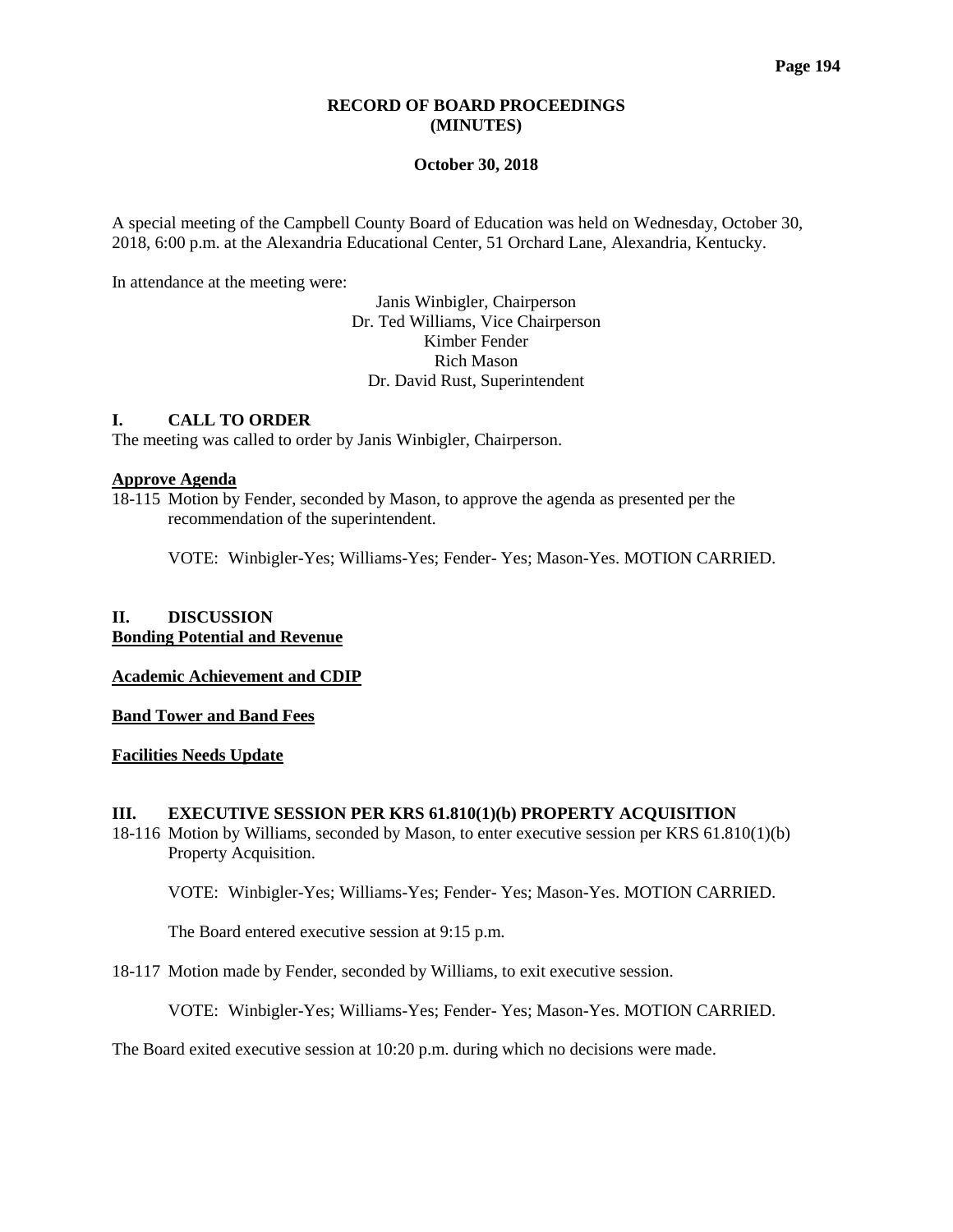## **RECORD OF BOARD PROCEEDINGS (MINUTES)**

#### **October 30, 2018**

A special meeting of the Campbell County Board of Education was held on Wednesday, October 30, 2018, 6:00 p.m. at the Alexandria Educational Center, 51 Orchard Lane, Alexandria, Kentucky.

In attendance at the meeting were:

Janis Winbigler, Chairperson Dr. Ted Williams, Vice Chairperson Kimber Fender Rich Mason Dr. David Rust, Superintendent

## **I. CALL TO ORDER**

The meeting was called to order by Janis Winbigler, Chairperson.

#### **Approve Agenda**

18-115 Motion by Fender, seconded by Mason, to approve the agenda as presented per the recommendation of the superintendent.

VOTE: Winbigler-Yes; Williams-Yes; Fender- Yes; Mason-Yes. MOTION CARRIED.

## **II. DISCUSSION Bonding Potential and Revenue**

**Academic Achievement and CDIP**

**Band Tower and Band Fees**

#### **Facilities Needs Update**

### **III. EXECUTIVE SESSION PER KRS 61.810(1)(b) PROPERTY ACQUISITION**

18-116 Motion by Williams, seconded by Mason, to enter executive session per KRS 61.810(1)(b) Property Acquisition.

VOTE: Winbigler-Yes; Williams-Yes; Fender- Yes; Mason-Yes. MOTION CARRIED.

The Board entered executive session at 9:15 p.m.

18-117 Motion made by Fender, seconded by Williams, to exit executive session.

VOTE: Winbigler-Yes; Williams-Yes; Fender- Yes; Mason-Yes. MOTION CARRIED.

The Board exited executive session at 10:20 p.m. during which no decisions were made.